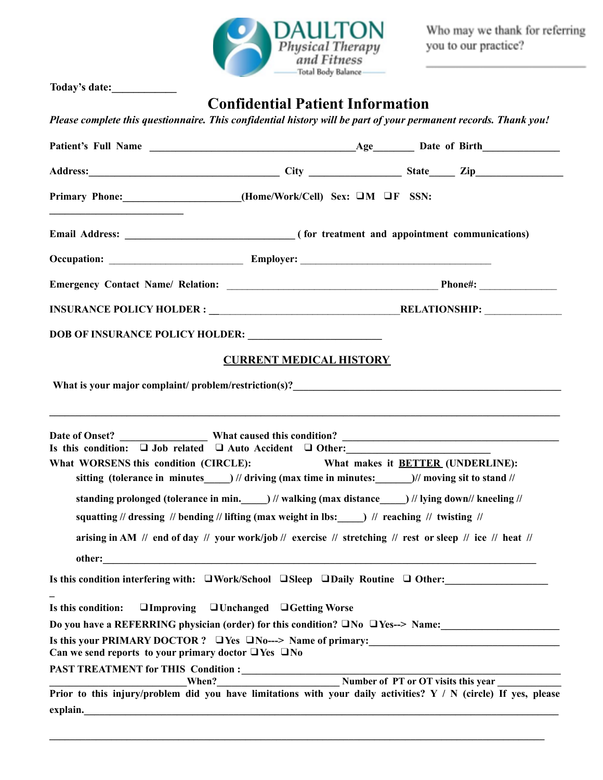

Who may we thank for referring<br>you to our practice?

|                                                                                                                                                                                                                                        | <b>Confidential Patient Information</b>                                                                       |  |
|----------------------------------------------------------------------------------------------------------------------------------------------------------------------------------------------------------------------------------------|---------------------------------------------------------------------------------------------------------------|--|
| Please complete this questionnaire. This confidential history will be part of your permanent records. Thank you!                                                                                                                       |                                                                                                               |  |
|                                                                                                                                                                                                                                        |                                                                                                               |  |
|                                                                                                                                                                                                                                        |                                                                                                               |  |
| Primary Phone: ____________________(Home/Work/Cell) Sex: OM OF SSN:                                                                                                                                                                    |                                                                                                               |  |
|                                                                                                                                                                                                                                        |                                                                                                               |  |
|                                                                                                                                                                                                                                        |                                                                                                               |  |
|                                                                                                                                                                                                                                        |                                                                                                               |  |
|                                                                                                                                                                                                                                        |                                                                                                               |  |
|                                                                                                                                                                                                                                        |                                                                                                               |  |
|                                                                                                                                                                                                                                        | <b>CURRENT MEDICAL HISTORY</b>                                                                                |  |
|                                                                                                                                                                                                                                        |                                                                                                               |  |
| What is your major complaint/ problem/restriction(s)?<br><u>Letting and the contract of the contract of the contract of the contract of the contract of the contract of the contract of the contract of the contract of the contra</u> |                                                                                                               |  |
|                                                                                                                                                                                                                                        |                                                                                                               |  |
|                                                                                                                                                                                                                                        | ,我们也不能在这里的人,我们也不能在这里的人,我们也不能在这里的人,我们也不能在这里的人,我们也不能在这里的人,我们也不能在这里的人,我们也不能在这里的人,我们也                             |  |
| Is this condition: $\Box$ Job related $\Box$ Auto Accident $\Box$ Other:                                                                                                                                                               |                                                                                                               |  |
| What WORSENS this condition (CIRCLE):                                                                                                                                                                                                  | What makes it <b>BETTER</b> (UNDERLINE):                                                                      |  |
|                                                                                                                                                                                                                                        | sitting (tolerance in minutes $\qquad$ ) // driving (max time in minutes: $\qquad$ )// moving sit to stand // |  |
|                                                                                                                                                                                                                                        | standing prolonged (tolerance in min. ) // walking (max distance ) // lying down// kneeling //                |  |
|                                                                                                                                                                                                                                        | squatting // dressing // bending // lifting (max weight in lbs: $\qquad$ ) // reaching // twisting //         |  |
|                                                                                                                                                                                                                                        | arising in AM // end of day // your work/job// exercise // stretching // rest or sleep // ice // heat //      |  |
|                                                                                                                                                                                                                                        |                                                                                                               |  |
| Is this condition interfering with: $\Box$ Work/School $\Box$ Sleep $\Box$ Daily Routine $\Box$ Other:                                                                                                                                 |                                                                                                               |  |
| Is this condition:                                                                                                                                                                                                                     |                                                                                                               |  |
| Do you have a REFERRING physician (order) for this condition? $\square$ No $\square$ Yes--> Name:                                                                                                                                      | □Improving □Unchanged □Getting Worse                                                                          |  |
| Is this your PRIMARY DOCTOR? O Yes ONo---> Name of primary:                                                                                                                                                                            |                                                                                                               |  |
| Can we send reports to your primary doctor $\Box$ Yes $\Box$ No                                                                                                                                                                        |                                                                                                               |  |
|                                                                                                                                                                                                                                        |                                                                                                               |  |
| PAST TREATMENT for THIS Condition :<br>When?<br>Prior to this injury/problem did you have limitations with your daily activities? Y / N (circle) If yes, please                                                                        |                                                                                                               |  |
|                                                                                                                                                                                                                                        |                                                                                                               |  |
|                                                                                                                                                                                                                                        |                                                                                                               |  |

**\_\_\_\_\_\_\_\_\_\_\_\_\_\_\_\_\_\_\_\_\_\_\_\_\_\_\_\_\_\_\_\_\_\_\_\_\_\_\_\_\_\_\_\_\_\_\_\_\_\_\_\_\_\_\_\_\_\_\_\_\_\_\_\_\_\_\_\_\_\_\_\_\_\_\_\_\_\_\_\_\_\_\_\_\_\_\_\_\_\_\_\_\_\_\_\_**